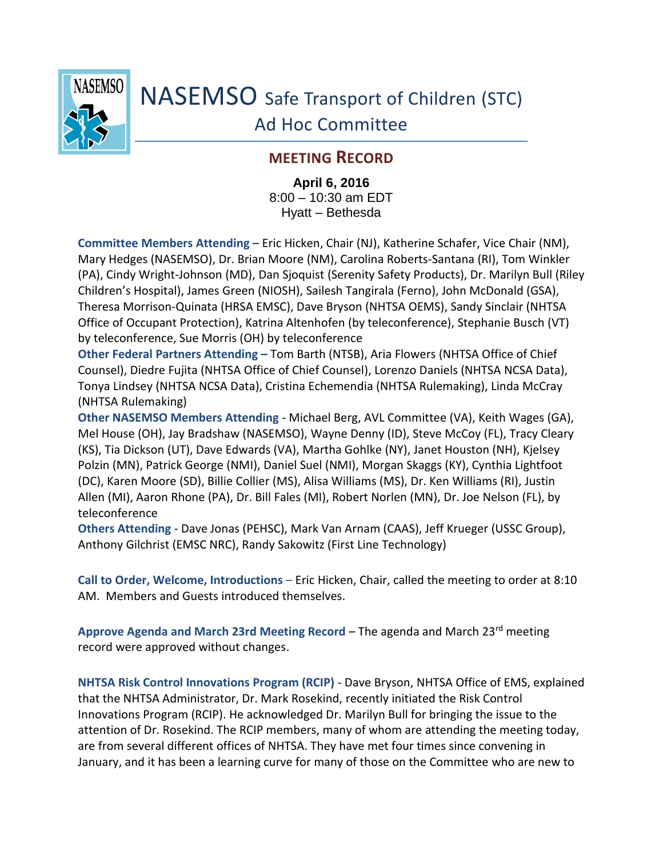

NASEMSO Safe Transport of Children (STC) Ad Hoc Committee

## **MEETING RECORD**

**April 6, 2016** 8:00 – 10:30 am EDT Hyatt – Bethesda

**Committee Members Attending** – Eric Hicken, Chair (NJ), Katherine Schafer, Vice Chair (NM), Mary Hedges (NASEMSO), Dr. Brian Moore (NM), Carolina Roberts-Santana (RI), Tom Winkler (PA), Cindy Wright-Johnson (MD), Dan Sjoquist (Serenity Safety Products), Dr. Marilyn Bull (Riley Children's Hospital), James Green (NIOSH), Sailesh Tangirala (Ferno), John McDonald (GSA), Theresa Morrison-Quinata (HRSA EMSC), Dave Bryson (NHTSA OEMS), Sandy Sinclair (NHTSA Office of Occupant Protection), Katrina Altenhofen (by teleconference), Stephanie Busch (VT) by teleconference, Sue Morris (OH) by teleconference

**Other Federal Partners Attending –** Tom Barth (NTSB), Aria Flowers (NHTSA Office of Chief Counsel), Diedre Fujita (NHTSA Office of Chief Counsel), Lorenzo Daniels (NHTSA NCSA Data), Tonya Lindsey (NHTSA NCSA Data), Cristina Echemendia (NHTSA Rulemaking), Linda McCray (NHTSA Rulemaking)

**Other NASEMSO Members Attending -** Michael Berg, AVL Committee (VA), Keith Wages (GA), Mel House (OH), Jay Bradshaw (NASEMSO), Wayne Denny (ID), Steve McCoy (FL), Tracy Cleary (KS), Tia Dickson (UT), Dave Edwards (VA), Martha Gohlke (NY), Janet Houston (NH), Kjelsey Polzin (MN), Patrick George (NMI), Daniel Suel (NMI), Morgan Skaggs (KY), Cynthia Lightfoot (DC), Karen Moore (SD), Billie Collier (MS), Alisa Williams (MS), Dr. Ken Williams (RI), Justin Allen (MI), Aaron Rhone (PA), Dr. Bill Fales (MI), Robert Norlen (MN), Dr. Joe Nelson (FL), by teleconference

**Others Attending -** Dave Jonas (PEHSC), Mark Van Arnam (CAAS), Jeff Krueger (USSC Group), Anthony Gilchrist (EMSC NRC), Randy Sakowitz (First Line Technology)

**Call to Order, Welcome, Introductions** – Eric Hicken, Chair, called the meeting to order at 8:10 AM. Members and Guests introduced themselves.

**Approve Agenda and March 23rd Meeting Record** – The agenda and March 23rd meeting record were approved without changes.

**NHTSA Risk Control Innovations Program (RCIP)** - Dave Bryson, NHTSA Office of EMS, explained that the NHTSA Administrator, Dr. Mark Rosekind, recently initiated the Risk Control Innovations Program (RCIP). He acknowledged Dr. Marilyn Bull for bringing the issue to the attention of Dr. Rosekind. The RCIP members, many of whom are attending the meeting today, are from several different offices of NHTSA. They have met four times since convening in January, and it has been a learning curve for many of those on the Committee who are new to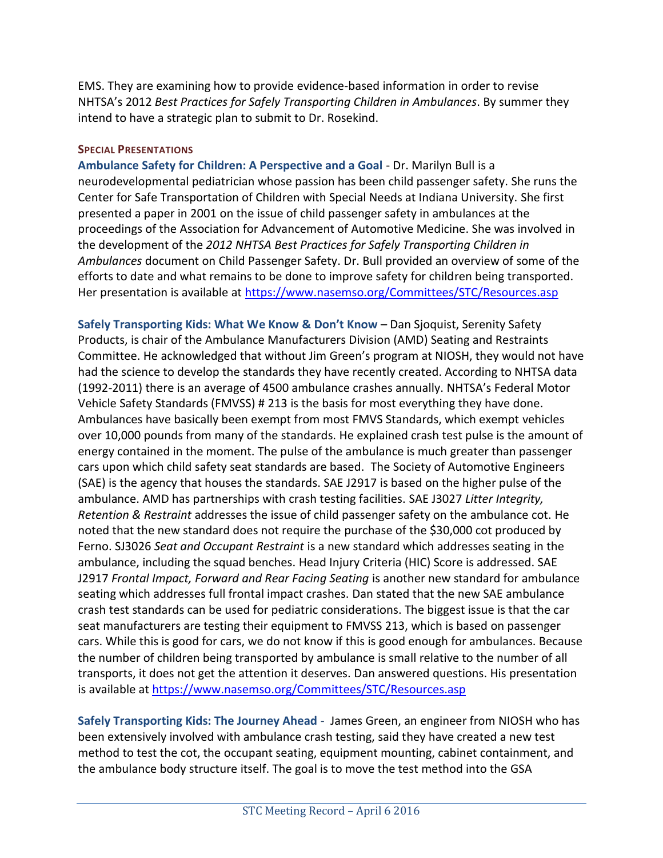EMS. They are examining how to provide evidence-based information in order to revise NHTSA's 2012 *Best Practices for Safely Transporting Children in Ambulances*. By summer they intend to have a strategic plan to submit to Dr. Rosekind.

## **SPECIAL PRESENTATIONS**

**Ambulance Safety for Children: A Perspective and a Goal** - Dr. Marilyn Bull is a neurodevelopmental pediatrician whose passion has been child passenger safety. She runs the Center for Safe Transportation of Children with Special Needs at Indiana University. She first presented a paper in 2001 on the issue of child passenger safety in ambulances at the proceedings of the Association for Advancement of Automotive Medicine. She was involved in the development of the *2012 NHTSA Best Practices for Safely Transporting Children in Ambulances* document on Child Passenger Safety. Dr. Bull provided an overview of some of the efforts to date and what remains to be done to improve safety for children being transported. Her presentation is available at <https://www.nasemso.org/Committees/STC/Resources.asp>

**Safely Transporting Kids: What We Know & Don't Know** – Dan Sjoquist, Serenity Safety Products, is chair of the Ambulance Manufacturers Division (AMD) Seating and Restraints Committee. He acknowledged that without Jim Green's program at NIOSH, they would not have had the science to develop the standards they have recently created. According to NHTSA data (1992-2011) there is an average of 4500 ambulance crashes annually. NHTSA's Federal Motor Vehicle Safety Standards (FMVSS) # 213 is the basis for most everything they have done. Ambulances have basically been exempt from most FMVS Standards, which exempt vehicles over 10,000 pounds from many of the standards. He explained crash test pulse is the amount of energy contained in the moment. The pulse of the ambulance is much greater than passenger cars upon which child safety seat standards are based. The Society of Automotive Engineers (SAE) is the agency that houses the standards. SAE J2917 is based on the higher pulse of the ambulance. AMD has partnerships with crash testing facilities. SAE J3027 *Litter Integrity, Retention & Restraint* addresses the issue of child passenger safety on the ambulance cot. He noted that the new standard does not require the purchase of the \$30,000 cot produced by Ferno. SJ3026 *Seat and Occupant Restraint* is a new standard which addresses seating in the ambulance, including the squad benches. Head Injury Criteria (HIC) Score is addressed. SAE J2917 *Frontal Impact, Forward and Rear Facing Seating* is another new standard for ambulance seating which addresses full frontal impact crashes. Dan stated that the new SAE ambulance crash test standards can be used for pediatric considerations. The biggest issue is that the car seat manufacturers are testing their equipment to FMVSS 213, which is based on passenger cars. While this is good for cars, we do not know if this is good enough for ambulances. Because the number of children being transported by ambulance is small relative to the number of all transports, it does not get the attention it deserves. Dan answered questions. His presentation is available at<https://www.nasemso.org/Committees/STC/Resources.asp>

**Safely Transporting Kids: The Journey Ahead** - James Green, an engineer from NIOSH who has been extensively involved with ambulance crash testing, said they have created a new test method to test the cot, the occupant seating, equipment mounting, cabinet containment, and the ambulance body structure itself. The goal is to move the test method into the GSA